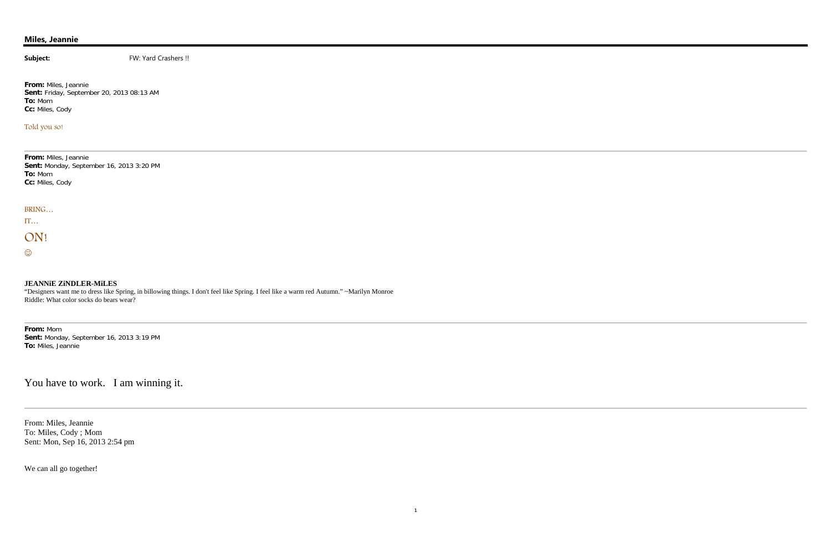## **Miles, Jeannie**

**Subject:** FW: Yard Crashers !!

**From:** Miles, Jeannie **Sent:** Friday, September 20, 2013 08:13 AM **To:** Mom **Cc:** Miles, Cody

### Told you so!

**From:** Miles, Jeannie **Sent:** Monday, September 16, 2013 3:20 PM **To:** Mom **Cc:** Miles, Cody

BRING…

IT…

# ON!

 $\odot$ 

#### **JEANNiE ZiNDLER-MiLES**

"Designers want me to dress like Spring, in billowing things. I don't feel like Spring. I feel like a warm red Autumn." ~Marilyn Monroe Riddle: What color socks do bears wear?

**From:** Mom **Sent:** Monday, September 16, 2013 3:19 PM **To:** Miles, Jeannie

You have to work. I am winning it.

From: Miles, Jeannie To: Miles, Cody ; Mom Sent: Mon, Sep 16, 2013 2:54 pm

We can all go together!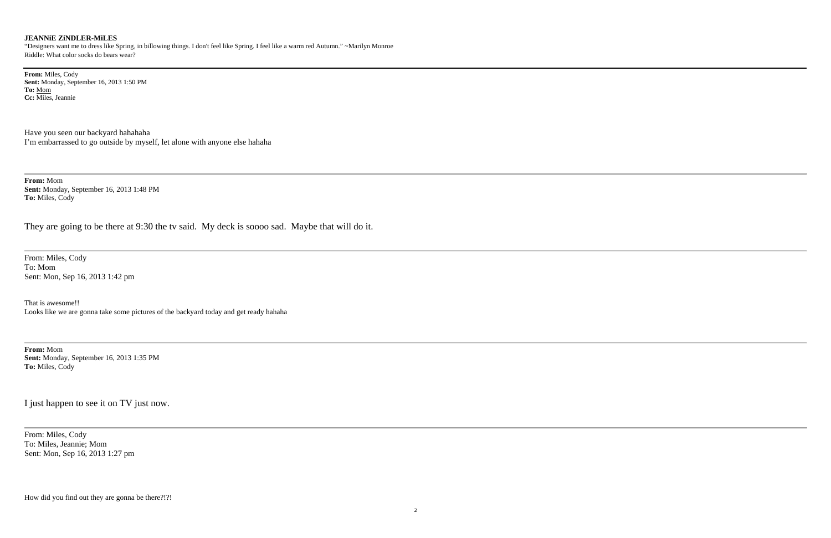#### **JEANNiE ZiNDLER-MiLES**

"Designers want me to dress like Spring, in billowing things. I don't feel like Spring. I feel like a warm red Autumn." ~Marilyn Monroe Riddle: What color socks do bears wear?

**From:** Miles, Cody **Sent:** Monday, September 16, 2013 1:50 PM **To:** Mom **Cc:** Miles, Jeannie

Have you seen our backyard hahahaha I'm embarrassed to go outside by myself, let alone with anyone else hahaha

**From:** Mom **Sent:** Monday, September 16, 2013 1:48 PM **To:** Miles, Cody

They are going to be there at 9:30 the tv said. My deck is soooo sad. Maybe that will do it.

From: Miles, Cody To: Mom Sent: Mon, Sep 16, 2013 1:42 pm

That is awesome!! Looks like we are gonna take some pictures of the backyard today and get ready hahaha

**From:** Mom **Sent:** Monday, September 16, 2013 1:35 PM **To:** Miles, Cody

I just happen to see it on TV just now.

From: Miles, Cody To: Miles, Jeannie; Mom Sent: Mon, Sep 16, 2013 1:27 pm